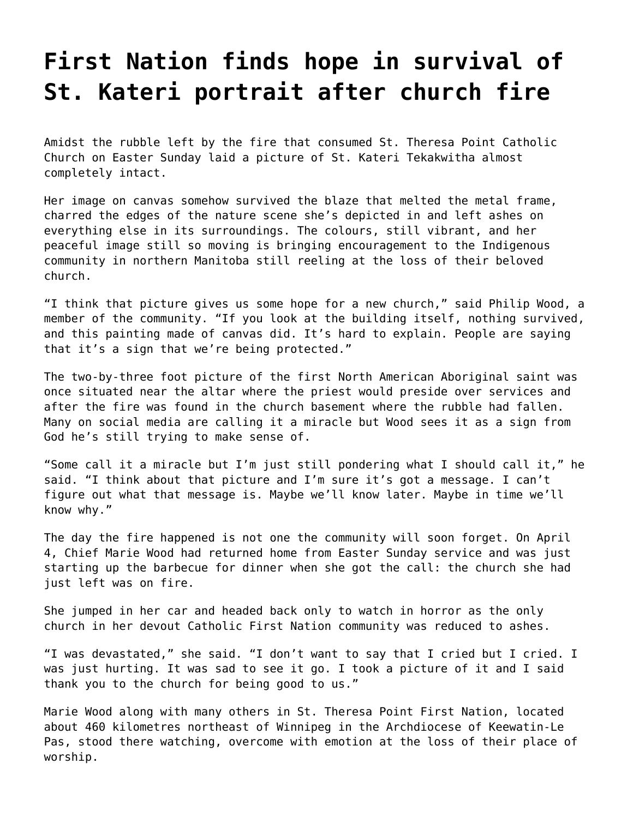## **[First Nation finds hope in survival of](https://grandinmedia.ca/first-nation-finds-hope-in-survival-of-st-kateri-portrait-after-church-fire/) [St. Kateri portrait after church fire](https://grandinmedia.ca/first-nation-finds-hope-in-survival-of-st-kateri-portrait-after-church-fire/)**

Amidst the rubble left by the fire that consumed St. Theresa Point Catholic Church on Easter Sunday laid a picture of St. Kateri Tekakwitha almost completely intact.

Her image on canvas somehow survived the blaze that melted the metal frame, charred the edges of the nature scene she's depicted in and left ashes on everything else in its surroundings. The colours, still vibrant, and her peaceful image still so moving is bringing encouragement to the Indigenous community in northern Manitoba still reeling at the loss of their beloved church.

"I think that picture gives us some hope for a new church," said Philip Wood, a member of the community. "If you look at the building itself, nothing survived, and this painting made of canvas did. It's hard to explain. People are saying that it's a sign that we're being protected."

The two-by-three foot picture of the first North American Aboriginal saint was once situated near the altar where the priest would preside over services and after the fire was found in the church basement where the rubble had fallen. Many on social media are calling it a miracle but Wood sees it as a sign from God he's still trying to make sense of.

"Some call it a miracle but I'm just still pondering what I should call it," he said. "I think about that picture and I'm sure it's got a message. I can't figure out what that message is. Maybe we'll know later. Maybe in time we'll know why."

The day the fire happened is not one the community will soon forget. On April 4, Chief Marie Wood had returned home from Easter Sunday service and was just starting up the barbecue for dinner when she got the call: the church she had just left was on fire.

She jumped in her car and headed back only to watch in horror as the only church in her devout Catholic First Nation community was reduced to ashes.

"I was devastated," she said. "I don't want to say that I cried but I cried. I was just hurting. It was sad to see it go. I took a picture of it and I said thank you to the church for being good to us."

Marie Wood along with many others in St. Theresa Point First Nation, located about 460 kilometres northeast of Winnipeg in the Archdiocese of Keewatin-Le Pas, stood there watching, overcome with emotion at the loss of their place of worship.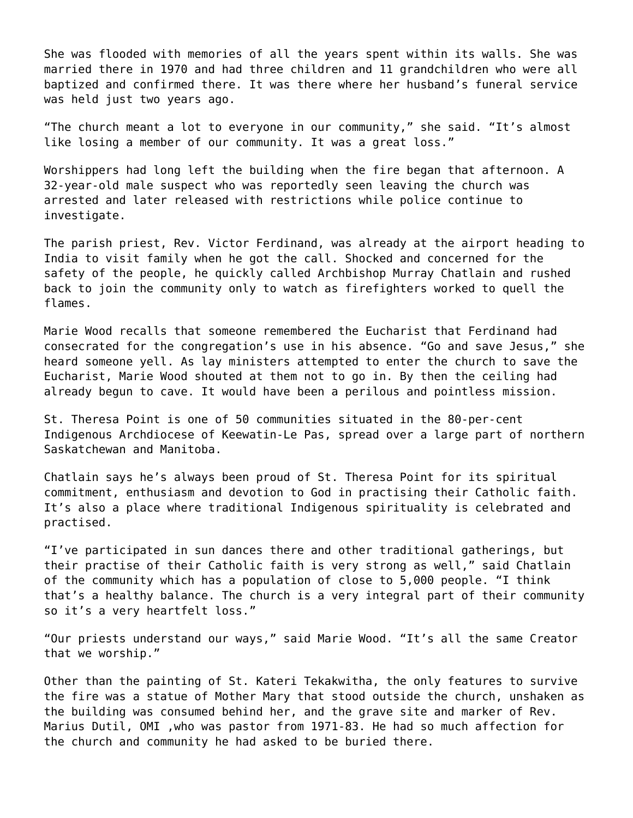She was flooded with memories of all the years spent within its walls. She was married there in 1970 and had three children and 11 grandchildren who were all baptized and confirmed there. It was there where her husband's funeral service was held just two years ago.

"The church meant a lot to everyone in our community," she said. "It's almost like losing a member of our community. It was a great loss."

Worshippers had long left the building when the fire began that afternoon. A 32-year-old male suspect who was reportedly seen leaving the church was arrested and later released with restrictions while police continue to investigate.

The parish priest, Rev. Victor Ferdinand, was already at the airport heading to India to visit family when he got the call. Shocked and concerned for the safety of the people, he quickly called Archbishop Murray Chatlain and rushed back to join the community only to watch as firefighters worked to quell the flames.

Marie Wood recalls that someone remembered the Eucharist that Ferdinand had consecrated for the congregation's use in his absence. "Go and save Jesus," she heard someone yell. As lay ministers attempted to enter the church to save the Eucharist, Marie Wood shouted at them not to go in. By then the ceiling had already begun to cave. It would have been a perilous and pointless mission.

St. Theresa Point is one of 50 communities situated in the 80-per-cent Indigenous Archdiocese of Keewatin-Le Pas, spread over a large part of northern Saskatchewan and Manitoba.

Chatlain says he's always been proud of St. Theresa Point for its spiritual commitment, enthusiasm and devotion to God in practising their Catholic faith. It's also a place where traditional Indigenous spirituality is celebrated and practised.

"I've participated in sun dances there and other traditional gatherings, but their practise of their Catholic faith is very strong as well," said Chatlain of the community which has a population of close to 5,000 people. "I think that's a healthy balance. The church is a very integral part of their community so it's a very heartfelt loss."

"Our priests understand our ways," said Marie Wood. "It's all the same Creator that we worship."

Other than the painting of St. Kateri Tekakwitha, the only features to survive the fire was a statue of Mother Mary that stood outside the church, unshaken as the building was consumed behind her, and the grave site and marker of Rev. Marius Dutil, OMI ,who was pastor from 1971-83. He had so much affection for the church and community he had asked to be buried there.